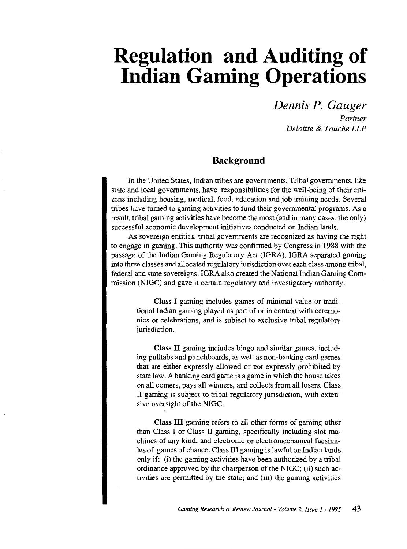# **Regulation and Auditing of Indian Gaming Operations**

*Dennis P. Gauger Partner Deloitte* & *Touche UP* 

## **Background**

In the United States, Indian tribes are governments. Tribal governments, like state and local governments, have responsibilities for the well-being of their citizens including housing, medical, food, education and job training needs. Several tribes have turned to gaming activities to fund their governmental programs. As a result, tribal gaming activities have become the most (and in many cases, the only) successful economic development initiatives conducted on Indian lands.

As sovereign entities, tribal governments are recognized as having the right to engage in gaming. This authority was confirmed by Congress in 1988 with the passage of the Indian Gaming Regulatory Act (IGRA). IGRA separated gaming into three classes and allocated regulatory jurisdiction over each class among tribal, federal and state sovereigns. IGRA also created the National Indian Gaming Commission (NIGC) and gave it certain regulatory and investigatory authority.

Class I gaming includes games of minimal value or traditional Indian gaming played as part of or in context with ceremonies or celebrations, and is subject to exclusive tribal regulatory jurisdiction.

Class II gaming includes bingo and similar games, including pulltabs and punchboards, as well as non-banking card games that are either expressly allowed or not expressly prohibited by state law. A banking card game is a game in which the house takes on all comers, pays all winners, and collects from all losers. Class II gaming is subject to tribal regulatory jurisdiction, with extensive oversight of the NIGC.

Class **ill** gaming refers to all other forms of gaming other than Class I or Class II gaming, specifically including slot machines of any kind, and electronic or electromechanical facsimiles of games of chance. Class III gaming is lawful on Indian lands only if: (i) the gaming activities have been authorized by a tribal ordinance approved by the chairperson of the NIGC; (ii) such activities are permitted by the state; and (iii) the gaming activities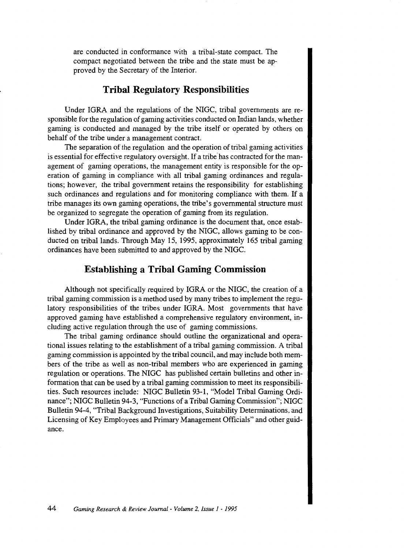are conducted in conformance with a tribal-state compact. The compact negotiated between the tribe and the state must be approved by the Secretary of the Interior.

#### **Tribal Regulatory Responsibilities**

Under IGRA and the regulations of the NIGC, tribal governments are responsible for the regulation of gaming activities conducted on Indian lands, whether gaming is conducted and managed by the tribe itself or operated by others on behalf of the tribe under a management contract.

The separation of the regulation and the operation of tribal gaming activities is essential for effective regulatory oversight. If a tribe has contracted for the management of gaming operations, the management entity is responsible for the operation of gaming in compliance with all tribal gaming ordinances and regulations; however, the tribal government retains the responsibility for establishing such ordinances and regulations and for monitoring compliance with them. If a tribe manages its own gaming operations, the tribe's governmental structure must be organized to segregate the operation of gaming from its regulation.

Under IGRA, the tribal gaming ordinance is the document that, once established by tribal ordinance and approved by the NIGC, allows gaming to be conducted on tribal lands. Through May 15, 1995, approximately 165 tribal gaming ordinances have been submitted to and approved by the NIGC.

#### **Establishing a Tribal Gaming Commission**

Although not specifically required by IGRA or the NIGC, the creation of a tribal gaming commission is a method used by many tribes to implement the regulatory responsibilities of the tribes under IGRA. Most governments that have approved gaming have established a comprehensive regulatory environment, including active regulation through the use of gaming commissions.

The tribal gaming ordinance should outline the organizational and operational issues relating to the establishment of a tribal gaming commission. A tribal gaming commission is appointed by the tribal council, and may include both members of the tribe as well as non-tribal members who are experienced in gaming regulation or operations. The NIGC has published certain bulletins and other information that can be used by a tribal gaming commission to meet its responsibilities. Such resources include: NIGC Bulletin 93-1, "Model Tribal Gaming Ordinance"; NIGC Bulletin 94-3, "Functions of a Tribal Gaming Commission"; NIGC Bulletin 94-4, "Tribal Background Investigations, Suitability Determinations, and Licensing of Key Employees and Primary Management Officials" and other guidance.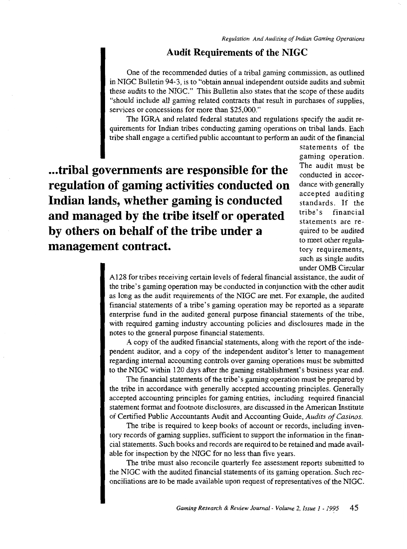## **Audit Requirements of the NIGC**

One of the recommended duties of a tribal gaming commission, as outlined in NIGC Bulletin 94-3, is to "obtain annual independent outside audits and submit these audits to the NIGC." This Bulletin also states that the scope of these audits "should include all gaming related contracts that result in purchases of supplies, services or concessions for more than \$25,000."

The IGRA and related federal statutes and regulations specify the audit requirements for Indian tribes conducting gaming operations on tribal lands. Each tribe shall engage a certified public accountant to perform an audit of the financial

**... tribal governments are responsible for the regulation of gaming activities conducted on Indian lands, whether gaming is conducted and managed by the tribe itself or operated by others on behalf of the tribe under a management contract.** 

statements of the gaming operation. The audit must be conducted in accordance with generally accepted auditing standards. If the tribe's financial statements are required to be audited to meet other regulatory requirements, such as single audits under OMB Circular

A128 for tribes receiving certain levels of federal financial assistance, the audit of the tribe's gaming operation may be conducted in conjunction with the other audit as long as the audit requirements of the NIGC are met. For example, the audited financial statements of a tribe's gaming operation may be reported as a separate enterprise fund in the audited general purpose financial statements of the tribe, with required gaming industry accounting policies and disclosures made in the notes to the general purpose financial statements.

A copy of the audited financial statements, along with the report of the independent auditor, and a copy of the independent auditor's letter to management regarding internal accounting controls over gaming operations must be submitted to the NIGC within 120 days after the gaming establishment's business year end.

The financial statements of the tribe's gaming operation must be prepared by the tribe in accordance with generally accepted accounting principles. Generally accepted accounting principles for gaming entities, including required financial statement format and footnote disclosures, are discussed in the American Institute of Certified Public Accountants Audit and Accounting Guide, *Audits of Casinos.* 

The tribe is required to keep books of account or records, including inventory records of gaming supplies, sufficient to support the information in the financial statements. Such books and records are required to be retained and made available for inspection by the NIGC for no less than five years.

The tribe must also reconcile quarterly fee assessment reports submitted to the NIGC with the audited financial statements of its gaming operation. Such reconciliations are to be made available upon request of representatives of the NIGC.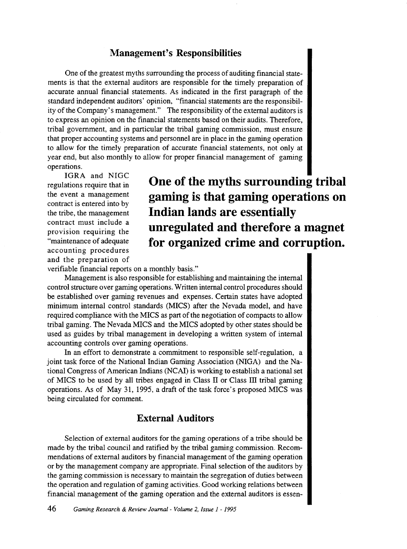#### **Management's Responsibilities**

One of the greatest myths surrounding the process of auditing financial statements is that the external auditors are responsible for the timely preparation of accurate annual financial statements. As indicated in the first paragraph of the standard independent auditors' opinion, "financial statements are the responsibility of the Company's management." The responsibility of the external auditors is to express an opinion on the financial statements based on their audits. Therefore, tribal government, and in particular the tribal gaming commission, must ensure that proper accounting systems and personnel are in place in the gaming operation to allow for the timely preparation of accurate financial statements, not only at year end, but also monthly to allow for proper financial management of gaming operations.

IGRA and NIGC regulations require that in the event a management contract is entered into by the tribe, the management contract must include a provision requiring the "maintenance of adequate accounting procedures and the preparation of

**One of the myths surrounding tribal gaming is that gaming operations on Indian lands are essentially unregulated and therefore a magnet for organized crime and corruption.** 

verifiable financial reports on a monthly basis."

Management is also responsible for establishing and maintaining the internal control structure over gaming operations. Written internal control procedures should be established over gaming revenues and expenses. Certain states have adopted minimum internal control standards (MICS) after the Nevada model, and have required compliance with the MICS as part of the negotiation of compacts to allow tribal gaming. The Nevada MICS and the MICS adopted by other states should be used as guides by tribal management in developing a written system of internal accounting controls over gaming operations.

In an effort to demonstrate a commitment to responsible self-regulation, a joint task force of the National Indian Gaming Association (NIGA) and the National Congress of American Indians (NCAI) is working to establish a national set of MICS to be used by all tribes engaged in Class II or Class III tribal gaming operations. As of May 31, 1995, a draft of the task force's proposed MICS was being circulated for comment.

# **External Auditors**

Selection of external auditors for the gaming operations of a tribe should be made by the tribal council and ratified by the tribal gaming commission. Recommendations of external auditors by financial management of the gaming operation or by the management company are appropriate. Final selection of the auditors by the gaming commission is necessary to maintain the segregation of duties between the operation and regulation of gaming activities. Good working relations between financial management of the gaming operation and the external auditors is essen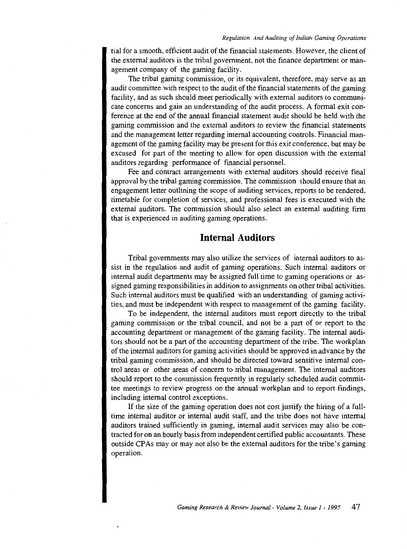tial for a smooth, efficient audit of the financial statements. However, the client of the external auditors is the tribal government, not the finance department or management company of the gaming facility.

The tribal gaming commission, or its equivalent, therefore, may serve as an audit committee with respect to the audit of the financial statements of the gaming facility, and as such should meet periodically with external auditors to communicate concerns and gain an understanding of the audit process. A formal exit conference at the end of the annual financial statement audit should be held with the gaming commission and the external auditors to review the financial statements and the management letter regarding internal accounting controls. Financial management of the gaming facility may be present for this exit conference, but may be excused for part of the meeting to allow for open discussion with the external auditors regarding performance of financial personnel.

Fee and contract arrangements with external auditors should receive final approval by the tribal gaming commission. The commission should ensure that an engagement letter outlining the scope of auditing services, reports to be rendered, timetable for completion of services, and professional fees is executed with the external auditors. The commission should also select an external auditing firm that is experienced in auditing gaming operations.

#### **Internal Auditors**

Tribal governments may also utilize the services of internal auditors to assist in the regulation and audit of gaming operations. Such internal auditors or internal audit departments may be assigned full time to gaming operations or assigned gaming responsibilities in addition to assignments on other tribal activities. Such internal auditors must be qualified with an understanding of gaming activities, and must be independent with respect to management of the gaming facility.

To be independent, the internal auditors must report directly to the tribal gaming commission or the tribal council, and not be a part of or report to the accounting department or management of the gaming facility. The internal auditors should not be a part of the accounting department of the tribe. The workplan of the internal auditors for gaming activities should be approved in advance by the tribal gaming commission, and should be directed toward sensitive internal control areas or other areas of concern to tribal management. The internal auditors should report to the commission frequently in regularly scheduled audit committee meetings to review progress on the annual workplan and to report findings, including internal control exceptions.

If the size of the gaming operation does not cost justify the hiring of a fulltime internal auditor or internal audit staff, and the tribe does not have internal auditors trained sufficiently in gaming, internal audit services may also be contracted for on an hourly basis from independent certified public accountants. These outside CPAs may or may not also be the external auditors for the tribe's gaming operation.